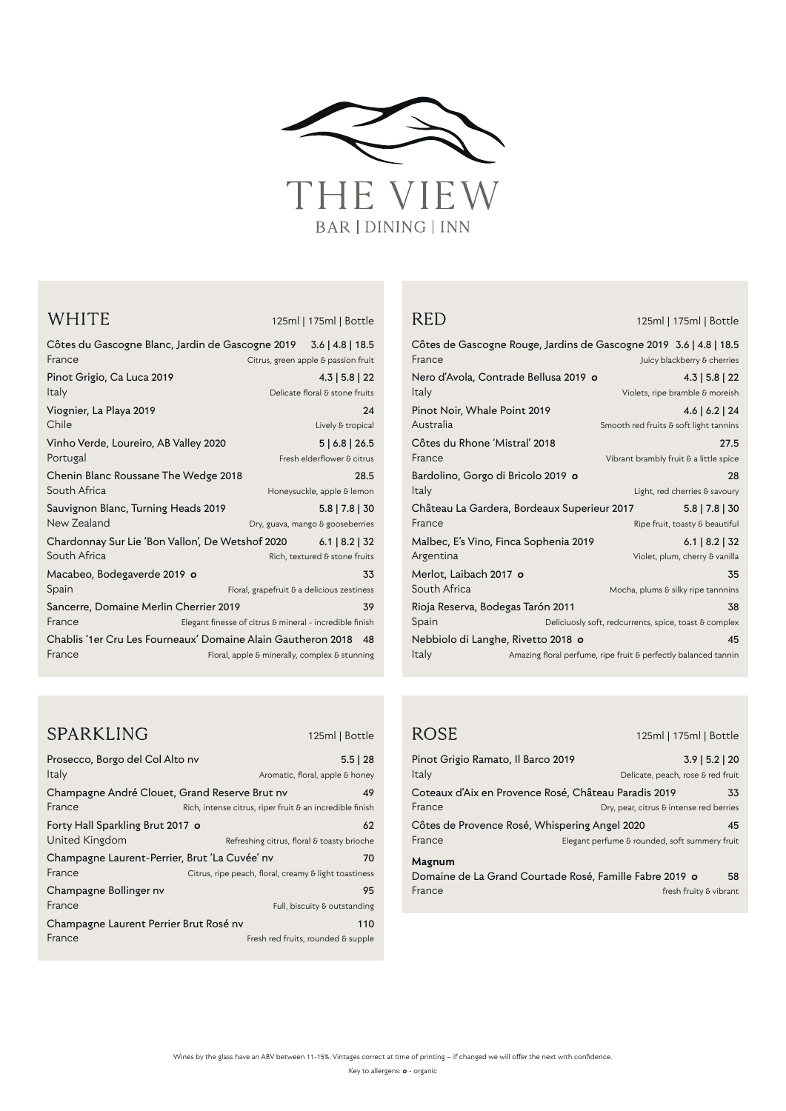

WHITE 125ml | 175ml | Bottle

| Côtes du Gascogne Blanc, Jardin de Gascogne 2019<br>$3.6$   4.8   18.5 |                                                         |                                     |
|------------------------------------------------------------------------|---------------------------------------------------------|-------------------------------------|
| France                                                                 |                                                         | Citrus, green apple & passion fruit |
| Pinot Grigio, Ca Luca 2019                                             |                                                         | $4.3$   5.8   22                    |
| Italy                                                                  |                                                         | Delicate floral & stone fruits      |
| Viognier, La Playa 2019                                                |                                                         | 24                                  |
| Chile                                                                  |                                                         | Lively & tropical                   |
| Vinho Verde, Loureiro, AB Valley 2020                                  |                                                         | 5   6.8   26.5                      |
| Portugal                                                               |                                                         | Fresh elderflower & citrus          |
| Chenin Blanc Roussane The Wedge 2018                                   |                                                         | 28.5                                |
| South Africa                                                           |                                                         | Honeysuckle, apple & lemon          |
| Sauvignon Blanc, Turning Heads 2019                                    |                                                         | $5.8$   $7.8$   30                  |
| New Zealand                                                            |                                                         | Dry, guava, mango & gooseberries    |
| Chardonnay Sur Lie 'Bon Vallon', De Wetshof 2020                       |                                                         | $6.1$   8.2   32                    |
| South Africa                                                           |                                                         | Rich, textured & stone fruits       |
| Macabeo, Bodegaverde 2019 o                                            |                                                         | 33                                  |
| Spain                                                                  | Floral, grapefruit & a delicious zestiness              |                                     |
| Sancerre, Domaine Merlin Cherrier 2019                                 |                                                         | 39                                  |
| France                                                                 | Elegant finesse of citrus & mineral - incredible finish |                                     |
| Chablis '1er Cru Les Fourneaux' Domaine Alain Gautheron 2018<br>48     |                                                         |                                     |
| France                                                                 | Floral, apple & minerally, complex & stunning           |                                     |
|                                                                        |                                                         |                                     |

RED 125ml | 175ml | Bottle

| Côtes de Gascogne Rouge, Jardins de Gascogne 2019 3.6   4.8   18.5<br>France | Juicy blackberry & cherries                                    |
|------------------------------------------------------------------------------|----------------------------------------------------------------|
| Nero d'Avola, Contrade Bellusa 2019 o                                        | $4.3$   5.8   22                                               |
| Italy                                                                        | Violets, ripe bramble & moreish                                |
| Pinot Noir, Whale Point 2019                                                 | $4.6$   6.2   24                                               |
| Australia                                                                    | Smooth red fruits & soft light tannins                         |
| Côtes du Rhone 'Mistral' 2018                                                | 27.5                                                           |
| France                                                                       | Vibrant brambly fruit & a little spice                         |
| Bardolino, Gorgo di Bricolo 2019 o                                           | 28                                                             |
| Italy                                                                        | Light, red cherries & savoury                                  |
| Château La Gardera, Bordeaux Superieur 2017                                  | $5.8$   7.8   30                                               |
| France                                                                       | Ripe fruit, toasty & beautiful                                 |
| Malbec, E's Vino, Finca Sophenia 2019                                        | $6.1$   8.2   32                                               |
| Argentina                                                                    | Violet, plum, cherry & vanilla                                 |
| Merlot, Laibach 2017 o                                                       | 35                                                             |
| South Africa                                                                 | Mocha, plums & silky ripe tannnins                             |
| Rioja Reserva, Bodegas Tarón 2011                                            | 38                                                             |
| Spain                                                                        | Deliciuosly soft, redcurrents, spice, toast & complex          |
| Nebbiolo di Langhe, Rivetto 2018 o                                           | 45                                                             |
| Italy                                                                        | Amazing floral perfume, ripe fruit & perfectly balanced tannin |

ROSE 125ml | 175ml | Bottle

| Pinot Grigio Ramato, Il Barco 2019                                          |                                               | $3.9$   5.2   20             |
|-----------------------------------------------------------------------------|-----------------------------------------------|------------------------------|
| Italy                                                                       | Delicate, peach, rose & red fruit             |                              |
| Coteaux d'Aix en Provence Rosé, Château Paradis 2019                        |                                               | 33                           |
| France                                                                      | Dry, pear, citrus & intense red berries       |                              |
| Côtes de Provence Rosé, Whispering Angel 2020                               |                                               | 45                           |
| France                                                                      | Elegant perfume & rounded, soft summery fruit |                              |
| Magnum<br>Domaine de La Grand Courtade Rosé, Famille Fabre 2019 o<br>France |                                               | 58<br>fresh fruity & vibrant |

| <b>SPARKLING</b> | 125ml   Bottle |
|------------------|----------------|
|                  |                |

| Prosecco, Borgo del Col Alto nv<br>Italy                | $5.5$   28<br>Aromatic, floral, apple & honey                  |
|---------------------------------------------------------|----------------------------------------------------------------|
| Champagne André Clouet, Grand Reserve Brut nv<br>France | 49<br>Rich, intense citrus, riper fruit & an incredible finish |
| Forty Hall Sparkling Brut 2017 o<br>United Kingdom      | 62<br>Refreshing citrus, floral & toasty brioche               |
| Champagne Laurent-Perrier, Brut 'La Cuvée' nv<br>France | 70<br>Citrus, ripe peach, floral, creamy & light toastiness    |
| Champagne Bollinger nv<br>France                        | 95<br>Full, biscuity & outstanding                             |
| Champagne Laurent Perrier Brut Rosé nv<br>France        | 110<br>Fresh red fruits, rounded & supple                      |

Key to allergens: *o* - organic